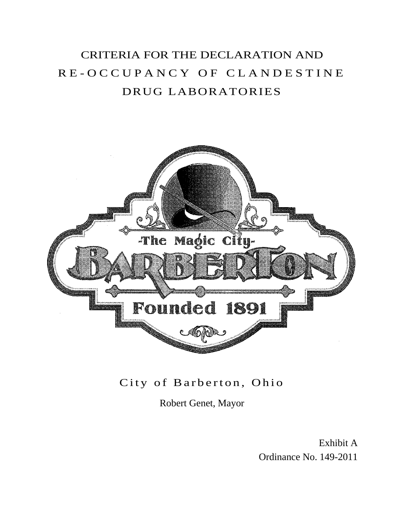# CRITERIA FOR THE DECLARATION AND R E - O C C U P A N C Y O F C L A N D E S T I N E DRUG LABORATORIES



## City of Barberton, Ohio

Robert Genet, Mayor

Exhibit A Ordinance No. 149-2011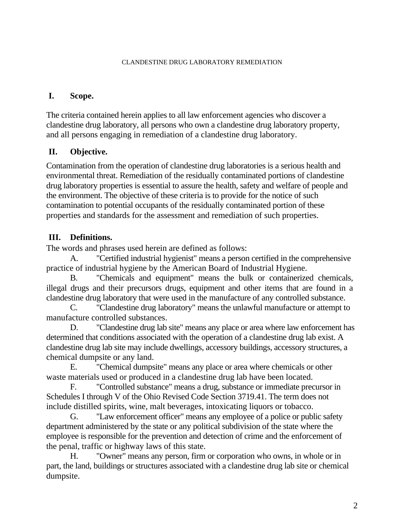#### **I. Scope.**

The criteria contained herein applies to all law enforcement agencies who discover a clandestine drug laboratory, all persons who own a clandestine drug laboratory property, and all persons engaging in remediation of a clandestine drug laboratory.

### **II. Objective.**

Contamination from the operation of clandestine drug laboratories is a serious health and environmental threat. Remediation of the residually contaminated portions of clandestine drug laboratory properties is essential to assure the health, safety and welfare of people and the environment. The objective of these criteria is to provide for the notice of such contamination to potential occupants of the residually contaminated portion of these properties and standards for the assessment and remediation of such properties.

### **III. Definitions.**

The words and phrases used herein are defined as follows:

A. "Certified industrial hygienist" means a person certified in the comprehensive practice of industrial hygiene by the American Board of Industrial Hygiene.

B. "Chemicals and equipment" means the bulk or containerized chemicals, illegal drugs and their precursors drugs, equipment and other items that are found in a clandestine drug laboratory that were used in the manufacture of any controlled substance.

C. "Clandestine drug laboratory" means the unlawful manufacture or attempt to manufacture controlled substances.

D. "Clandestine drug lab site" means any place or area where law enforcement has determined that conditions associated with the operation of a clandestine drug lab exist. A clandestine drug lab site may include dwellings, accessory buildings, accessory structures, a chemical dumpsite or any land.

E. "Chemical dumpsite" means any place or area where chemicals or other waste materials used or produced in a clandestine drug lab have been located.

F. "Controlled substance" means a drug, substance or immediate precursor in Schedules I through V of the Ohio Revised Code Section 3719.41. The term does not include distilled spirits, wine, malt beverages, intoxicating liquors or tobacco.

G. "Law enforcement officer" means any employee of a police or public safety department administered by the state or any political subdivision of the state where the employee is responsible for the prevention and detection of crime and the enforcement of the penal, traffic or highway laws of this state.

H. "Owner" means any person, firm or corporation who owns, in whole or in part, the land, buildings or structures associated with a clandestine drug lab site or chemical dumpsite.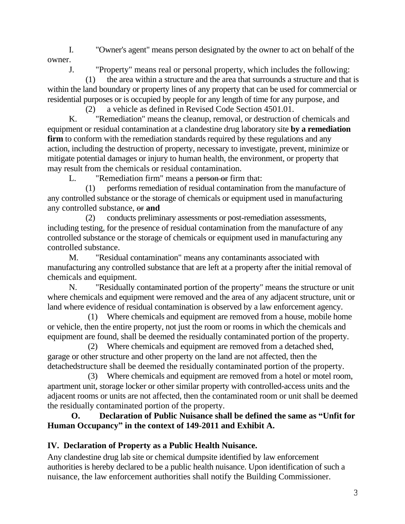I. "Owner's agent" means person designated by the owner to act on behalf of the owner.

J. "Property" means real or personal property, which includes the following:

(1) the area within a structure and the area that surrounds a structure and that is within the land boundary or property lines of any property that can be used for commercial or residential purposes or is occupied by people for any length of time for any purpose, and

(2) a vehicle as defined in Revised Code Section 4501.01.

K. "Remediation" means the cleanup, removal, or destruction of chemicals and equipment or residual contamination at a clandestine drug laboratory site **by a remediation firm** to conform with the remediation standards required by these regulations and any action, including the destruction of property, necessary to investigate, prevent, minimize or mitigate potential damages or injury to human health, the environment, or property that may result from the chemicals or residual contamination.

L. "Remediation firm" means a person or firm that:

(1) performs remediation of residual contamination from the manufacture of any controlled substance or the storage of chemicals or equipment used in manufacturing any controlled substance, or **and**

(2) conducts preliminary assessments or post-remediation assessments, including testing, for the presence of residual contamination from the manufacture of any controlled substance or the storage of chemicals or equipment used in manufacturing any controlled substance.

M. "Residual contamination" means any contaminants associated with manufacturing any controlled substance that are left at a property after the initial removal of chemicals and equipment.

N. "Residually contaminated portion of the property" means the structure or unit where chemicals and equipment were removed and the area of any adjacent structure, unit or land where evidence of residual contamination is observed by a law enforcement agency.

(1) Where chemicals and equipment are removed from a house, mobile home or vehicle, then the entire property, not just the room or rooms in which the chemicals and equipment are found, shall be deemed the residually contaminated portion of the property.

(2) Where chemicals and equipment are removed from a detached shed, garage or other structure and other property on the land are not affected, then the detachedstructure shall be deemed the residually contaminated portion of the property.

(3) Where chemicals and equipment are removed from a hotel or motel room, apartment unit, storage locker or other similar property with controlled-access units and the adjacent rooms or units are not affected, then the contaminated room or unit shall be deemed the residually contaminated portion of the property.

**O. Declaration of Public Nuisance shall be defined the same as "Unfit for Human Occupancy" in the context of 149-2011 and Exhibit A.**

#### **IV. Declaration of Property as a Public Health Nuisance.**

Any clandestine drug lab site or chemical dumpsite identified by law enforcement authorities is hereby declared to be a public health nuisance. Upon identification of such a nuisance, the law enforcement authorities shall notify the Building Commissioner.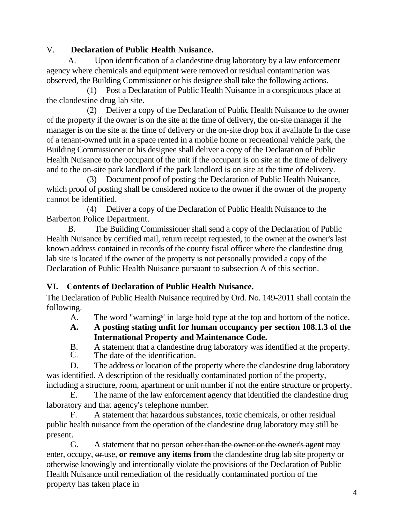#### V. **Declaration of Public Health Nuisance.**

A. Upon identification of a clandestine drug laboratory by a law enforcement agency where chemicals and equipment were removed or residual contamination was observed, the Building Commissioner or his designee shall take the following actions.

(1) Post a Declaration of Public Health Nuisance in a conspicuous place at the clandestine drug lab site.

(2) Deliver a copy of the Declaration of Public Health Nuisance to the owner of the property if the owner is on the site at the time of delivery, the on-site manager if the manager is on the site at the time of delivery or the on-site drop box if available In the case of a tenant-owned unit in a space rented in a mobile home or recreational vehicle park, the Building Commissioner or his designee shall deliver a copy of the Declaration of Public Health Nuisance to the occupant of the unit if the occupant is on site at the time of delivery and to the on-site park landlord if the park landlord is on site at the time of delivery.

(3) Document proof of posting the Declaration of Public Health Nuisance, which proof of posting shall be considered notice to the owner if the owner of the property cannot be identified.

(4) Deliver a copy of the Declaration of Public Health Nuisance to the Barberton Police Department.

B. The Building Commissioner shall send a copy of the Declaration of Public Health Nuisance by certified mail, return receipt requested, to the owner at the owner's last known address contained in records of the county fiscal officer where the clandestine drug lab site is located if the owner of the property is not personally provided a copy of the Declaration of Public Health Nuisance pursuant to subsection A of this section.

#### **VI. Contents of Declaration of Public Health Nuisance.**

The Declaration of Public Health Nuisance required by Ord. No. 149-2011 shall contain the following.

A. The word "warning<sup>s'</sup> in large bold type at the top and bottom of the notice.

- **A. A posting stating unfit for human occupancy per section 108.1.3 of the International Property and Maintenance Code.**
- B. A statement that a clandestine drug laboratory was identified at the property.<br>C. The date of the identification.
- The date of the identification.

D. The address or location of the property where the clandestine drug laboratory was identified. A description of the residually contaminated portion of the property, including a structure, room, apartment or unit number if not the entire structure or property.

E. The name of the law enforcement agency that identified the clandestine drug laboratory and that agency's telephone number.

F. A statement that hazardous substances, toxic chemicals, or other residual public health nuisance from the operation of the clandestine drug laboratory may still be present.

G. A statement that no person other than the owner or the owner's agent may enter, occupy, or use, **or remove any items from** the clandestine drug lab site property or otherwise knowingly and intentionally violate the provisions of the Declaration of Public Health Nuisance until remediation of the residually contaminated portion of the property has taken place in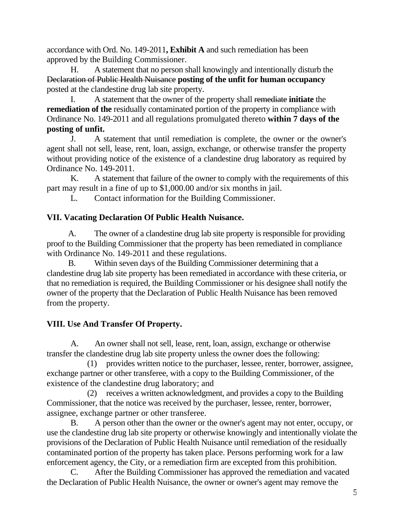accordance with Ord. No. 149-2011**, Exhibit A** and such remediation has been approved by the Building Commissioner.

H. A statement that no person shall knowingly and intentionally disturb the Declaration of Public Health Nuisance **posting of the unfit for human occupancy** posted at the clandestine drug lab site property.

I. A statement that the owner of the property shall remediate **initiate** the **remediation of the** residually contaminated portion of the property in compliance with Ordinance No. 149-2011 and all regulations promulgated thereto **within 7 days of the posting of unfit.**

J. A statement that until remediation is complete, the owner or the owner's agent shall not sell, lease, rent, loan, assign, exchange, or otherwise transfer the property without providing notice of the existence of a clandestine drug laboratory as required by Ordinance No. 149-2011.

K. A statement that failure of the owner to comply with the requirements of this part may result in a fine of up to \$1,000.00 and/or six months in jail.

L. Contact information for the Building Commissioner.

#### **VII. Vacating Declaration Of Public Health Nuisance.**

A. The owner of a clandestine drug lab site property is responsible for providing proof to the Building Commissioner that the property has been remediated in compliance with Ordinance No. 149-2011 and these regulations.

B. Within seven days of the Building Commissioner determining that a clandestine drug lab site property has been remediated in accordance with these criteria, or that no remediation is required, the Building Commissioner or his designee shall notify the owner of the property that the Declaration of Public Health Nuisance has been removed from the property.

#### **VIII. Use And Transfer Of Property.**

A. An owner shall not sell, lease, rent, loan, assign, exchange or otherwise transfer the clandestine drug lab site property unless the owner does the following:

(1) provides written notice to the purchaser, lessee, renter, borrower, assignee, exchange partner or other transferee, with a copy to the Building Commissioner, of the existence of the clandestine drug laboratory; and

(2) receives a written acknowledgment, and provides a copy to the Building Commissioner, that the notice was received by the purchaser, lessee, renter, borrower, assignee, exchange partner or other transferee.

B. A person other than the owner or the owner's agent may not enter, occupy, or use the clandestine drug lab site property or otherwise knowingly and intentionally violate the provisions of the Declaration of Public Health Nuisance until remediation of the residually contaminated portion of the property has taken place. Persons performing work for a law enforcement agency, the City, or a remediation firm are excepted from this prohibition.

C. After the Building Commissioner has approved the remediation and vacated the Declaration of Public Health Nuisance, the owner or owner's agent may remove the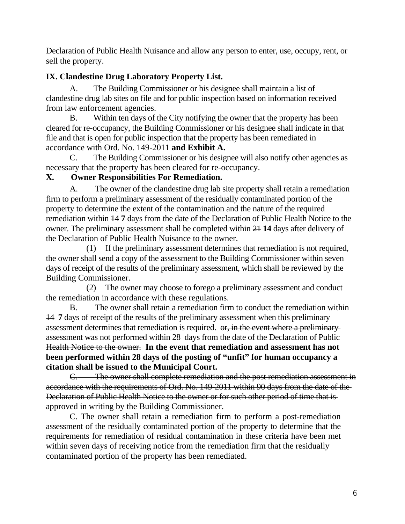Declaration of Public Health Nuisance and allow any person to enter, use, occupy, rent, or sell the property.

#### **IX. Clandestine Drug Laboratory Property List.**

A. The Building Commissioner or his designee shall maintain a list of clandestine drug lab sites on file and for public inspection based on information received from law enforcement agencies.

B. Within ten days of the City notifying the owner that the property has been cleared for re-occupancy, the Building Commissioner or his designee shall indicate in that file and that is open for public inspection that the property has been remediated in accordance with Ord. No. 149-2011 **and Exhibit A.**

C. The Building Commissioner or his designee will also notify other agencies as necessary that the property has been cleared for re-occupancy.

#### **X. Owner Responsibilities For Remediation.**

A. The owner of the clandestine drug lab site property shall retain a remediation firm to perform a preliminary assessment of the residually contaminated portion of the property to determine the extent of the contamination and the nature of the required remediation within 14 **7** days from the date of the Declaration of Public Health Notice to the owner. The preliminary assessment shall be completed within 21 **14** days after delivery of the Declaration of Public Health Nuisance to the owner.

(1) If the preliminary assessment determines that remediation is not required, the owner shall send a copy of the assessment to the Building Commissioner within seven days of receipt of the results of the preliminary assessment, which shall be reviewed by the Building Commissioner.

(2) The owner may choose to forego a preliminary assessment and conduct the remediation in accordance with these regulations.

B. The owner shall retain a remediation firm to conduct the remediation within 14 **7** days of receipt of the results of the preliminary assessment when this preliminary assessment determines that remediation is required. or, in the event where a preliminaryassessment was not performed within 28 days from the date of the Declaration of Public Health Notice to the owner. **In the event that remediation and assessment has not been performed within 28 days of the posting of "unfit" for human occupancy a citation shall be issued to the Municipal Court.** 

C. The owner shall complete remediation and the post remediation assessment in accordance with the requirements of Ord. No. 149-2011 within 90 days from the date of the Declaration of Public Health Notice to the owner or for such other period of time that is approved in writing by the Building Commissioner.

C. The owner shall retain a remediation firm to perform a post-remediation assessment of the residually contaminated portion of the property to determine that the requirements for remediation of residual contamination in these criteria have been met within seven days of receiving notice from the remediation firm that the residually contaminated portion of the property has been remediated.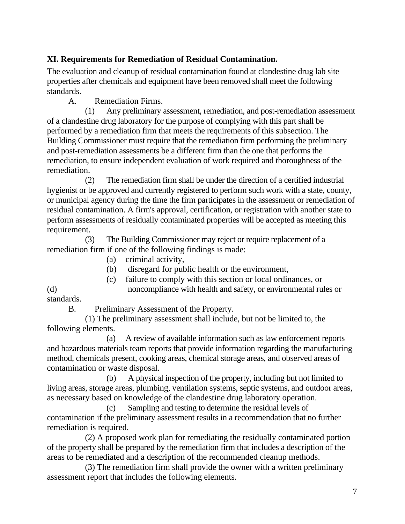#### **XI. Requirements for Remediation of Residual Contamination.**

The evaluation and cleanup of residual contamination found at clandestine drug lab site properties after chemicals and equipment have been removed shall meet the following standards.

A. Remediation Firms.

(1) Any preliminary assessment, remediation, and post-remediation assessment of a clandestine drug laboratory for the purpose of complying with this part shall be performed by a remediation firm that meets the requirements of this subsection. The Building Commissioner must require that the remediation firm performing the preliminary and post-remediation assessments be a different firm than the one that performs the remediation, to ensure independent evaluation of work required and thoroughness of the remediation.

(2) The remediation firm shall be under the direction of a certified industrial hygienist or be approved and currently registered to perform such work with a state, county, or municipal agency during the time the firm participates in the assessment or remediation of residual contamination. A firm's approval, certification, or registration with another state to perform assessments of residually contaminated properties will be accepted as meeting this requirement.

(3) The Building Commissioner may reject or require replacement of a remediation firm if one of the following findings is made:

- (a) criminal activity,
- (b) disregard for public health or the environment,

(c) failure to comply with this section or local ordinances, or (d) noncompliance with health and safety, or environmental rules or standards.

B. Preliminary Assessment of the Property.

(1) The preliminary assessment shall include, but not be limited to, the following elements.

(a) A review of available information such as law enforcement reports and hazardous materials team reports that provide information regarding the manufacturing method, chemicals present, cooking areas, chemical storage areas, and observed areas of contamination or waste disposal.

(b) A physical inspection of the property, including but not limited to living areas, storage areas, plumbing, ventilation systems, septic systems, and outdoor areas, as necessary based on knowledge of the clandestine drug laboratory operation.

(c) Sampling and testing to determine the residual levels of contamination if the preliminary assessment results in a recommendation that no further remediation is required.

(2) A proposed work plan for remediating the residually contaminated portion of the property shall be prepared by the remediation firm that includes a description of the areas to be remediated and a description of the recommended cleanup methods.

(3) The remediation firm shall provide the owner with a written preliminary assessment report that includes the following elements.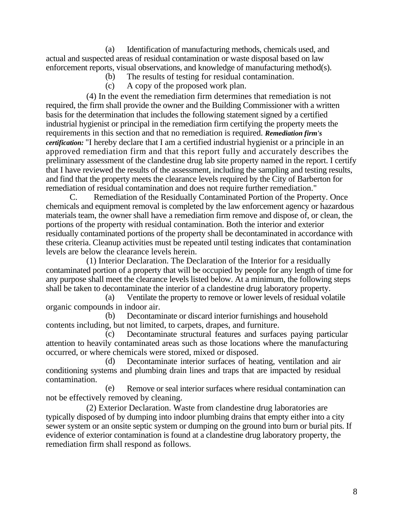(a) Identification of manufacturing methods, chemicals used, and actual and suspected areas of residual contamination or waste disposal based on law enforcement reports, visual observations, and knowledge of manufacturing method(s).

- (b) The results of testing for residual contamination.
- (c) A copy of the proposed work plan.

(4) In the event the remediation firm determines that remediation is not required, the firm shall provide the owner and the Building Commissioner with a written basis for the determination that includes the following statement signed by a certified industrial hygienist or principal in the remediation firm certifying the property meets the requirements in this section and that no remediation is required. *Remediation firm's certification:* "I hereby declare that I am a certified industrial hygienist or a principle in an approved remediation firm and that this report fully and accurately describes the preliminary assessment of the clandestine drug lab site property named in the report. I certify that I have reviewed the results of the assessment, including the sampling and testing results, and find that the property meets the clearance levels required by the City of Barberton for remediation of residual contamination and does not require further remediation."

C. Remediation of the Residually Contaminated Portion of the Property. Once chemicals and equipment removal is completed by the law enforcement agency or hazardous materials team, the owner shall have a remediation firm remove and dispose of, or clean, the portions of the property with residual contamination. Both the interior and exterior residually contaminated portions of the property shall be decontaminated in accordance with these criteria. Cleanup activities must be repeated until testing indicates that contamination levels are below the clearance levels herein.

(1) Interior Declaration. The Declaration of the Interior for a residually contaminated portion of a property that will be occupied by people for any length of time for any purpose shall meet the clearance levels listed below. At a minimum, the following steps shall be taken to decontaminate the interior of a clandestine drug laboratory property.

(a) Ventilate the property to remove or lower levels of residual volatile organic compounds in indoor air.

(b) Decontaminate or discard interior furnishings and household contents including, but not limited, to carpets, drapes, and furniture.

(c) Decontaminate structural features and surfaces paying particular attention to heavily contaminated areas such as those locations where the manufacturing occurred, or where chemicals were stored, mixed or disposed.

(d) Decontaminate interior surfaces of heating, ventilation and air conditioning systems and plumbing drain lines and traps that are impacted by residual contamination.

(e) Remove or seal interior surfaces where residual contamination can not be effectively removed by cleaning.

(2) Exterior Declaration. Waste from clandestine drug laboratories are typically disposed of by dumping into indoor plumbing drains that empty either into a city sewer system or an onsite septic system or dumping on the ground into burn or burial pits. If evidence of exterior contamination is found at a clandestine drug laboratory property, the remediation firm shall respond as follows.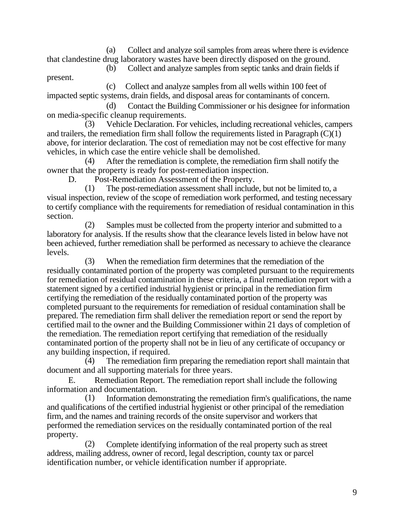(a) Collect and analyze soil samples from areas where there is evidence that clandestine drug laboratory wastes have been directly disposed on the ground.

(b) Collect and analyze samples from septic tanks and drain fields if

(c) Collect and analyze samples from all wells within 100 feet of impacted septic systems, drain fields, and disposal areas for contaminants of concern.

(d) Contact the Building Commissioner or his designee for information on media-specific cleanup requirements.

(3) Vehicle Declaration. For vehicles, including recreational vehicles, campers and trailers, the remediation firm shall follow the requirements listed in Paragraph  $(C)(1)$ above, for interior declaration. The cost of remediation may not be cost effective for many vehicles, in which case the entire vehicle shall be demolished.

(4) After the remediation is complete, the remediation firm shall notify the owner that the property is ready for post-remediation inspection.

D. Post-Remediation Assessment of the Property.

present.

(1) The post-remediation assessment shall include, but not be limited to, a visual inspection, review of the scope of remediation work performed, and testing necessary to certify compliance with the requirements for remediation of residual contamination in this section.

(2) Samples must be collected from the property interior and submitted to a laboratory for analysis. If the results show that the clearance levels listed in below have not been achieved, further remediation shall be performed as necessary to achieve the clearance levels.

(3) When the remediation firm determines that the remediation of the residually contaminated portion of the property was completed pursuant to the requirements for remediation of residual contamination in these criteria, a final remediation report with a statement signed by a certified industrial hygienist or principal in the remediation firm certifying the remediation of the residually contaminated portion of the property was completed pursuant to the requirements for remediation of residual contamination shall be prepared. The remediation firm shall deliver the remediation report or send the report by certified mail to the owner and the Building Commissioner within 21 days of completion of the remediation. The remediation report certifying that remediation of the residually contaminated portion of the property shall not be in lieu of any certificate of occupancy or any building inspection, if required.<br>(4) The remediation firm

The remediation firm preparing the remediation report shall maintain that document and all supporting materials for three years.

E. Remediation Report. The remediation report shall include the following information and documentation.

(1) Information demonstrating the remediation firm's qualifications, the name and qualifications of the certified industrial hygienist or other principal of the remediation firm, and the names and training records of the onsite supervisor and workers that performed the remediation services on the residually contaminated portion of the real property.

(2) Complete identifying information of the real property such as street address, mailing address, owner of record, legal description, county tax or parcel identification number, or vehicle identification number if appropriate.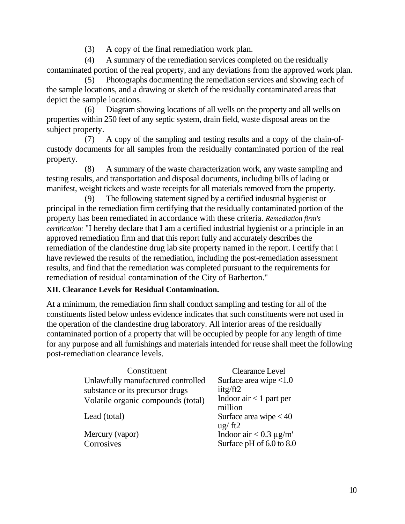(3) A copy of the final remediation work plan.

(4) A summary of the remediation services completed on the residually contaminated portion of the real property, and any deviations from the approved work plan.

(5) Photographs documenting the remediation services and showing each of the sample locations, and a drawing or sketch of the residually contaminated areas that depict the sample locations.

(6) Diagram showing locations of all wells on the property and all wells on properties within 250 feet of any septic system, drain field, waste disposal areas on the subject property.

(7) A copy of the sampling and testing results and a copy of the chain-ofcustody documents for all samples from the residually contaminated portion of the real property.

(8) A summary of the waste characterization work, any waste sampling and testing results, and transportation and disposal documents, including bills of lading or manifest, weight tickets and waste receipts for all materials removed from the property.

(9) The following statement signed by a certified industrial hygienist or principal in the remediation firm certifying that the residually contaminated portion of the property has been remediated in accordance with these criteria. *Remediation firm's certification:* "I hereby declare that I am a certified industrial hygienist or a principle in an approved remediation firm and that this report fully and accurately describes the remediation of the clandestine drug lab site property named in the report. I certify that I have reviewed the results of the remediation, including the post-remediation assessment results, and find that the remediation was completed pursuant to the requirements for remediation of residual contamination of the City of Barberton."

#### **XII. Clearance Levels for Residual Contamination.**

At a minimum, the remediation firm shall conduct sampling and testing for all of the constituents listed below unless evidence indicates that such constituents were not used in the operation of the clandestine drug laboratory. All interior areas of the residually contaminated portion of a property that will be occupied by people for any length of time for any purpose and all furnishings and materials intended for reuse shall meet the following post-remediation clearance levels.

| Constituent                        | <b>Clearance Level</b>      |
|------------------------------------|-----------------------------|
| Unlawfully manufactured controlled | Surface area wipe <1.0      |
| substance or its precursor drugs   | iitg/ft2                    |
| Volatile organic compounds (total) | Indoor air $<$ 1 part per   |
|                                    | million                     |
| Lead (total)                       | Surface area wipe $< 40$    |
|                                    | $\frac{u g}{f t}$ ft2       |
| Mercury (vapor)                    | Indoor air $< 0.3 \mu g/m'$ |
| Corrosives                         | Surface pH of 6.0 to 8.0    |